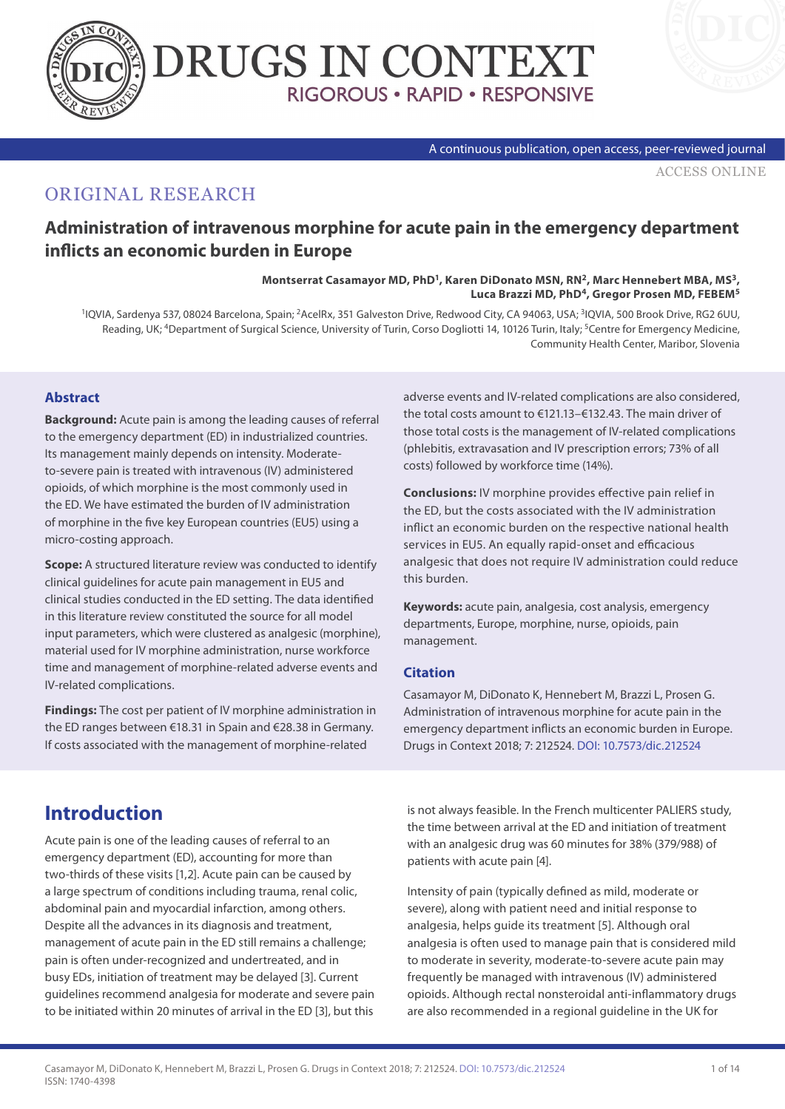



#### A continuous publication, open access, peer-reviewed journal

[ACCESS ONLINE](http://www.drugsincontext.com/administration-of-intravenous-morphine-for-acute-pain-in-the-emergency-department-inflicts-an-economic-burden-in-europe)

### ORIGINAL RESEARCH

### **Administration of intravenous morphine for acute pain in the emergency department inflicts an economic burden in Europe**

Montserrat Casamayor MD, PhD<sup>1</sup>, Karen DiDonato MSN, RN<sup>2</sup>, Marc Hennebert MBA, MS<sup>3</sup>, **Luca Brazzi MD, PhD4, Gregor Prosen MD, FEBEM5**

<sup>1</sup>IQVIA, Sardenya 537, 08024 Barcelona, Spain; <sup>2</sup>AcelRx, 351 Galveston Drive, Redwood City, CA 94063, USA; <sup>3</sup>IQVIA, 500 Brook Drive, RG2 6UU, Reading, UK; <sup>4</sup>Department of Surgical Science, University of Turin, Corso Dogliotti 14, 10126 Turin, Italy; <sup>5</sup>Centre for Emergency Medicine, Community Health Center, Maribor, Slovenia

### **Abstract**

**Background:** Acute pain is among the leading causes of referral to the emergency department (ED) in industrialized countries. Its management mainly depends on intensity. Moderateto-severe pain is treated with intravenous (IV) administered opioids, of which morphine is the most commonly used in the ED. We have estimated the burden of IV administration of morphine in the five key European countries (EU5) using a micro-costing approach.

**Scope:** A structured literature review was conducted to identify clinical guidelines for acute pain management in EU5 and clinical studies conducted in the ED setting. The data identified in this literature review constituted the source for all model input parameters, which were clustered as analgesic (morphine), material used for IV morphine administration, nurse workforce time and management of morphine-related adverse events and IV-related complications.

**Findings:** The cost per patient of IV morphine administration in the ED ranges between €18.31 in Spain and €28.38 in Germany. If costs associated with the management of morphine-related

adverse events and IV-related complications are also considered, the total costs amount to €121.13–€132.43. The main driver of those total costs is the management of IV-related complications (phlebitis, extravasation and IV prescription errors; 73% of all costs) followed by workforce time (14%).

**Conclusions:** IV morphine provides effective pain relief in the ED, but the costs associated with the IV administration inflict an economic burden on the respective national health services in EU5. An equally rapid-onset and efficacious analgesic that does not require IV administration could reduce this burden.

**Keywords:** acute pain, analgesia, cost analysis, emergency departments, Europe, morphine, nurse, opioids, pain management.

#### **Citation**

Casamayor M, DiDonato K, Hennebert M, Brazzi L, Prosen G. Administration of intravenous morphine for acute pain in the emergency department inflicts an economic burden in Europe. Drugs in Context 2018; 7: 212524. [DOI: 10.7573/dic.212524](https://doi.org/10.7573/dic.212524)

# **Introduction**

Acute pain is one of the leading causes of referral to an emergency department (ED), accounting for more than two-thirds of these visits [1,2]. Acute pain can be caused by a large spectrum of conditions including trauma, renal colic, abdominal pain and myocardial infarction, among others. Despite all the advances in its diagnosis and treatment, management of acute pain in the ED still remains a challenge; pain is often under-recognized and undertreated, and in busy EDs, initiation of treatment may be delayed [3]. Current guidelines recommend analgesia for moderate and severe pain to be initiated within 20 minutes of arrival in the ED [3], but this

is not always feasible. In the French multicenter PALIERS study, the time between arrival at the ED and initiation of treatment with an analgesic drug was 60 minutes for 38% (379/988) of patients with acute pain [4].

Intensity of pain (typically defined as mild, moderate or severe), along with patient need and initial response to analgesia, helps guide its treatment [5]. Although oral analgesia is often used to manage pain that is considered mild to moderate in severity, moderate-to-severe acute pain may frequently be managed with intravenous (IV) administered opioids. Although rectal nonsteroidal anti-inflammatory drugs are also recommended in a regional guideline in the UK for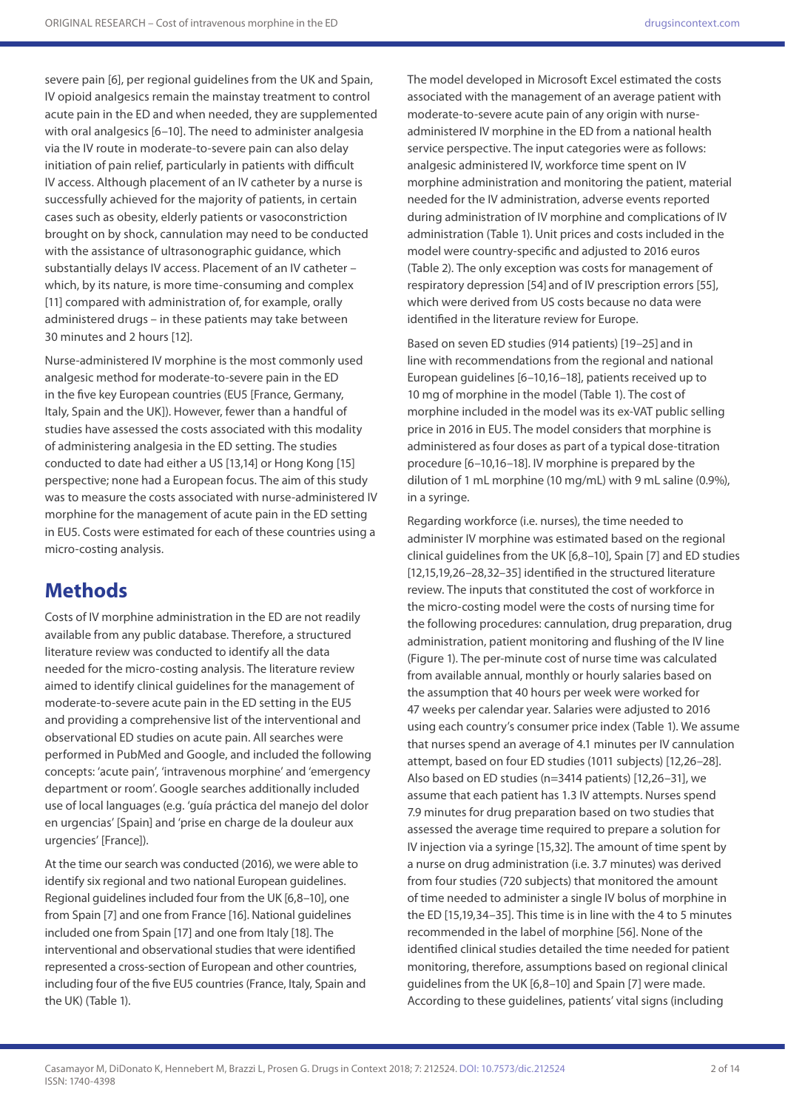severe pain [6], per regional guidelines from the UK and Spain, IV opioid analgesics remain the mainstay treatment to control acute pain in the ED and when needed, they are supplemented with oral analgesics [6–10]. The need to administer analgesia via the IV route in moderate-to-severe pain can also delay initiation of pain relief, particularly in patients with difficult IV access. Although placement of an IV catheter by a nurse is successfully achieved for the majority of patients, in certain cases such as obesity, elderly patients or vasoconstriction brought on by shock, cannulation may need to be conducted with the assistance of ultrasonographic guidance, which substantially delays IV access. Placement of an IV catheter – which, by its nature, is more time-consuming and complex [11] compared with administration of, for example, orally administered drugs – in these patients may take between 30 minutes and 2 hours [12].

Nurse-administered IV morphine is the most commonly used analgesic method for moderate-to-severe pain in the ED in the five key European countries (EU5 [France, Germany, Italy, Spain and the UK]). However, fewer than a handful of studies have assessed the costs associated with this modality of administering analgesia in the ED setting. The studies conducted to date had either a US [13,14] or Hong Kong [15] perspective; none had a European focus. The aim of this study was to measure the costs associated with nurse-administered IV morphine for the management of acute pain in the ED setting in EU5. Costs were estimated for each of these countries using a micro-costing analysis.

## **Methods**

Costs of IV morphine administration in the ED are not readily available from any public database. Therefore, a structured literature review was conducted to identify all the data needed for the micro-costing analysis. The literature review aimed to identify clinical guidelines for the management of moderate-to-severe acute pain in the ED setting in the EU5 and providing a comprehensive list of the interventional and observational ED studies on acute pain. All searches were performed in PubMed and Google, and included the following concepts: 'acute pain', 'intravenous morphine' and 'emergency department or room'. Google searches additionally included use of local languages (e.g. 'guía práctica del manejo del dolor en urgencias' [Spain] and 'prise en charge de la douleur aux urgencies' [France]).

At the time our search was conducted (2016), we were able to identify six regional and two national European guidelines. Regional guidelines included four from the UK [6,8–10], one from Spain [7] and one from France [16]. National guidelines included one from Spain [17] and one from Italy [18]. The interventional and observational studies that were identified represented a cross-section of European and other countries, including four of the five EU5 countries (France, Italy, Spain and the UK) (Table 1).

The model developed in Microsoft Excel estimated the costs associated with the management of an average patient with moderate-to-severe acute pain of any origin with nurseadministered IV morphine in the ED from a national health service perspective. The input categories were as follows: analgesic administered IV, workforce time spent on IV morphine administration and monitoring the patient, material needed for the IV administration, adverse events reported during administration of IV morphine and complications of IV administration (Table 1). Unit prices and costs included in the model were country-specific and adjusted to 2016 euros (Table 2). The only exception was costs for management of respiratory depression [54] and of IV prescription errors [55], which were derived from US costs because no data were identified in the literature review for Europe.

Based on seven ED studies (914 patients) [19–25] and in line with recommendations from the regional and national European guidelines [6–10,16–18], patients received up to 10 mg of morphine in the model (Table 1). The cost of morphine included in the model was its ex-VAT public selling price in 2016 in EU5. The model considers that morphine is administered as four doses as part of a typical dose-titration procedure [6–10,16–18]. IV morphine is prepared by the dilution of 1 mL morphine (10 mg/mL) with 9 mL saline (0.9%), in a syringe.

Regarding workforce (i.e. nurses), the time needed to administer IV morphine was estimated based on the regional clinical guidelines from the UK [6,8–10], Spain [7] and ED studies [12,15,19,26–28,32–35] identified in the structured literature review. The inputs that constituted the cost of workforce in the micro-costing model were the costs of nursing time for the following procedures: cannulation, drug preparation, drug administration, patient monitoring and flushing of the IV line (Figure 1). The per-minute cost of nurse time was calculated from available annual, monthly or hourly salaries based on the assumption that 40 hours per week were worked for 47 weeks per calendar year. Salaries were adjusted to 2016 using each country's consumer price index (Table 1). We assume that nurses spend an average of 4.1 minutes per IV cannulation attempt, based on four ED studies (1011 subjects) [12,26–28]. Also based on ED studies (n=3414 patients) [12,26–31], we assume that each patient has 1.3 IV attempts. Nurses spend 7.9 minutes for drug preparation based on two studies that assessed the average time required to prepare a solution for IV injection via a syringe [15,32]. The amount of time spent by a nurse on drug administration (i.e. 3.7 minutes) was derived from four studies (720 subjects) that monitored the amount of time needed to administer a single IV bolus of morphine in the ED [15,19,34–35]. This time is in line with the 4 to 5 minutes recommended in the label of morphine [56]. None of the identified clinical studies detailed the time needed for patient monitoring, therefore, assumptions based on regional clinical guidelines from the UK [6,8–10] and Spain [7] were made. According to these guidelines, patients' vital signs (including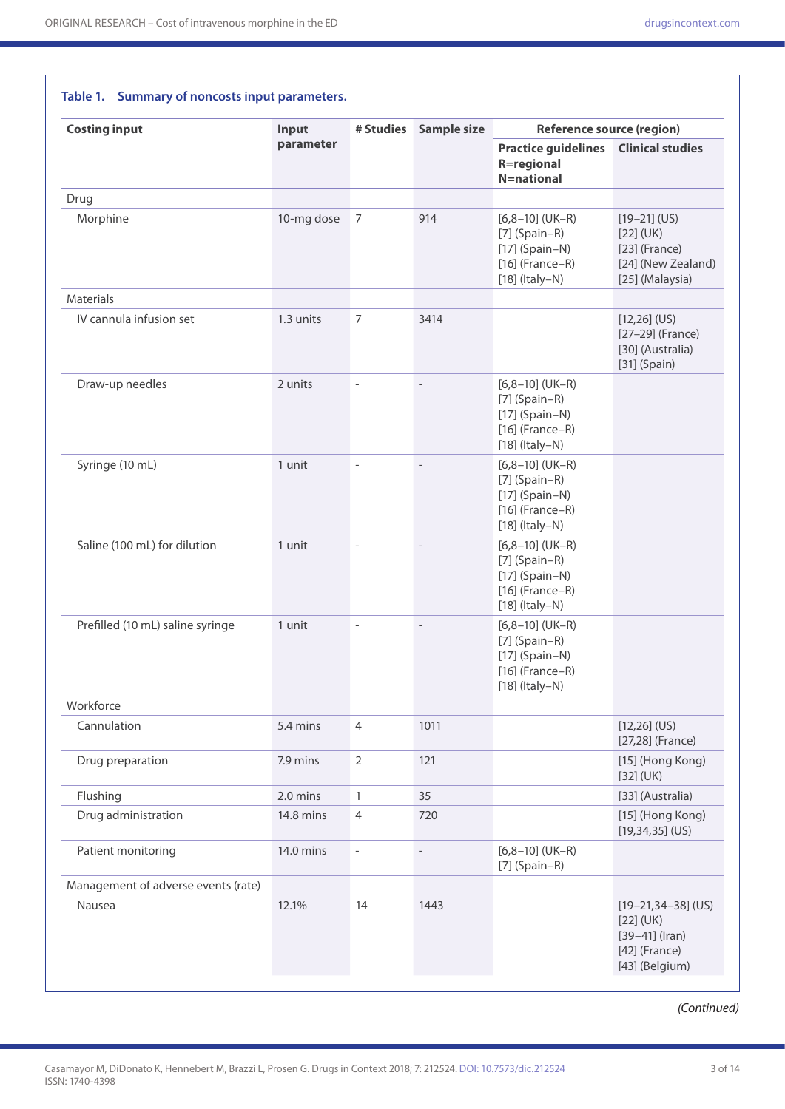**Table 1. Summary of noncosts input parameters.**

| <b>Costing input</b>                | Input      | # Studies                | <b>Sample size</b> | <b>Reference source (region)</b>                                                                  |                                                                                                   |  |
|-------------------------------------|------------|--------------------------|--------------------|---------------------------------------------------------------------------------------------------|---------------------------------------------------------------------------------------------------|--|
|                                     | parameter  |                          |                    | <b>Practice guidelines</b><br><b>R=regional</b><br><b>N=national</b>                              | <b>Clinical studies</b>                                                                           |  |
| Drug                                |            |                          |                    |                                                                                                   |                                                                                                   |  |
| Morphine                            | 10-mg dose | $\overline{7}$           | 914                | $[6,8-10]$ (UK-R)<br>$[7]$ (Spain-R)<br>$[17]$ (Spain-N)<br>$[16]$ (France-R)<br>$[18]$ (Italy-N) | $[19-21]$ (US)<br>$[22]$ (UK)<br>$[23]$ (France)<br>[24] (New Zealand)<br>[25] (Malaysia)         |  |
| <b>Materials</b>                    |            |                          |                    |                                                                                                   |                                                                                                   |  |
| IV cannula infusion set             | 1.3 units  | $\overline{7}$           | 3414               |                                                                                                   | $[12,26]$ (US)<br>[27-29] (France)<br>[30] (Australia)<br>$[31]$ (Spain)                          |  |
| Draw-up needles                     | 2 units    | $\overline{\phantom{a}}$ |                    | $[6,8-10]$ (UK-R)<br>$[7]$ (Spain-R)<br>$[17]$ (Spain-N)<br>$[16]$ (France-R)<br>$[18]$ (Italy-N) |                                                                                                   |  |
| Syringe (10 mL)                     | 1 unit     | L,                       |                    | $[6,8-10]$ (UK-R)<br>$[7]$ (Spain-R)<br>$[17]$ (Spain-N)<br>$[16]$ (France-R)<br>$[18]$ (Italy-N) |                                                                                                   |  |
| Saline (100 mL) for dilution        | 1 unit     | $\overline{a}$           |                    | $[6,8-10]$ (UK-R)<br>$[7]$ (Spain-R)<br>$[17]$ (Spain-N)<br>$[16]$ (France-R)<br>$[18]$ (Italy-N) |                                                                                                   |  |
| Prefilled (10 mL) saline syringe    | 1 unit     | $\overline{a}$           |                    | $[6,8-10]$ (UK-R)<br>$[7]$ (Spain-R)<br>$[17]$ (Spain-N)<br>$[16]$ (France-R)<br>$[18]$ (Italy-N) |                                                                                                   |  |
| Workforce                           |            |                          |                    |                                                                                                   |                                                                                                   |  |
| Cannulation                         | 5.4 mins   | $\overline{4}$           | 1011               |                                                                                                   | $[12,26]$ (US)<br>[27,28] (France)                                                                |  |
| Drug preparation                    | 7.9 mins   | $\overline{2}$           | 121                |                                                                                                   | [15] (Hong Kong)<br>$[32]$ (UK)                                                                   |  |
| Flushing                            | 2.0 mins   | $\mathbf{1}$             | 35                 |                                                                                                   | [33] (Australia)                                                                                  |  |
| Drug administration                 | 14.8 mins  | $\overline{4}$           | 720                |                                                                                                   | [15] (Hong Kong)<br>$[19, 34, 35]$ (US)                                                           |  |
| Patient monitoring                  | 14.0 mins  | $\blacksquare$           | $\qquad \qquad -$  | $[6,8-10]$ (UK-R)<br>$[7]$ (Spain-R)                                                              |                                                                                                   |  |
| Management of adverse events (rate) |            |                          |                    |                                                                                                   |                                                                                                   |  |
| Nausea                              | 12.1%      | 14                       | 1443               |                                                                                                   | $[19 - 21, 34 - 38]$ (US)<br>$[22]$ (UK)<br>$[39-41]$ (Iran)<br>$[42]$ (France)<br>[43] (Belgium) |  |

#### *(Continued)*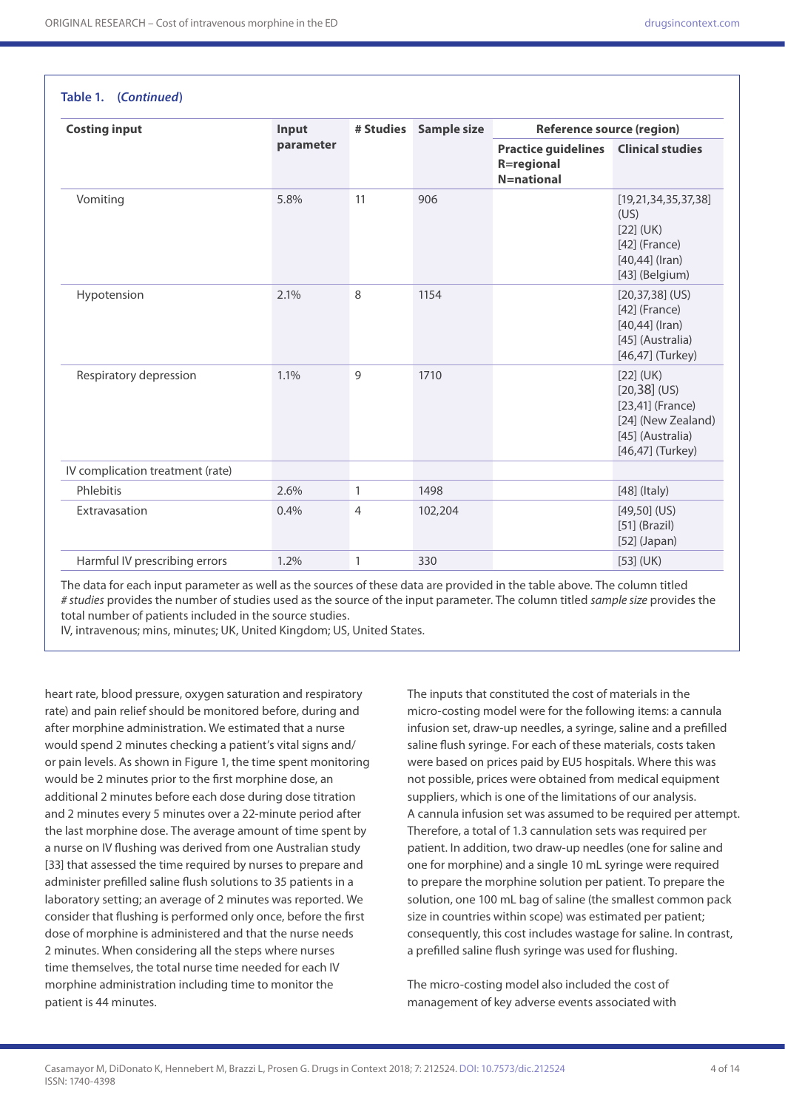**Table 1. (***Continued***)**

| <b>Costing input</b>             | Input     | # Studies      | <b>Sample size</b> | <b>Reference source (region)</b>                                     |                                                                                                                   |  |
|----------------------------------|-----------|----------------|--------------------|----------------------------------------------------------------------|-------------------------------------------------------------------------------------------------------------------|--|
|                                  | parameter |                |                    | <b>Practice guidelines</b><br><b>R=regional</b><br><b>N=national</b> | <b>Clinical studies</b>                                                                                           |  |
| Vomiting                         | 5.8%      | 11             | 906                |                                                                      | [19, 21, 34, 35, 37, 38]<br>(US)<br>$[22]$ (UK)<br>$[42]$ (France)<br>$[40, 44]$ (Iran)<br>[43] (Belgium)         |  |
| Hypotension                      | 2.1%      | 8              | 1154               |                                                                      | $[20, 37, 38]$ (US)<br>$[42]$ (France)<br>$[40, 44]$ (Iran)<br>[45] (Australia)<br>[46,47] (Turkey)               |  |
| Respiratory depression           | 1.1%      | 9              | 1710               |                                                                      | $[22]$ (UK)<br>$[20,38]$ (US)<br>$[23,41]$ (France)<br>[24] (New Zealand)<br>[45] (Australia)<br>[46,47] (Turkey) |  |
| IV complication treatment (rate) |           |                |                    |                                                                      |                                                                                                                   |  |
| Phlebitis                        | 2.6%      | $\mathbf{1}$   | 1498               |                                                                      | $[48]$ (Italy)                                                                                                    |  |
| Extravasation                    | 0.4%      | $\overline{4}$ | 102,204            |                                                                      | $[49,50]$ (US)<br>$[51]$ (Brazil)<br>$[52]$ (Japan)                                                               |  |
| Harmful IV prescribing errors    | 1.2%      | $\mathbf{1}$   | 330                |                                                                      | $[53]$ (UK)                                                                                                       |  |

The data for each input parameter as well as the sources of these data are provided in the table above. The column titled *# studies* provides the number of studies used as the source of the input parameter. The column titled *sample size* provides the total number of patients included in the source studies.

IV, intravenous; mins, minutes; UK, United Kingdom; US, United States.

heart rate, blood pressure, oxygen saturation and respiratory rate) and pain relief should be monitored before, during and after morphine administration. We estimated that a nurse would spend 2 minutes checking a patient's vital signs and/ or pain levels. As shown in Figure 1, the time spent monitoring would be 2 minutes prior to the first morphine dose, an additional 2 minutes before each dose during dose titration and 2 minutes every 5 minutes over a 22-minute period after the last morphine dose. The average amount of time spent by a nurse on IV flushing was derived from one Australian study [33] that assessed the time required by nurses to prepare and administer prefilled saline flush solutions to 35 patients in a laboratory setting; an average of 2 minutes was reported. We consider that flushing is performed only once, before the first dose of morphine is administered and that the nurse needs 2 minutes. When considering all the steps where nurses time themselves, the total nurse time needed for each IV morphine administration including time to monitor the patient is 44 minutes.

The inputs that constituted the cost of materials in the micro-costing model were for the following items: a cannula infusion set, draw-up needles, a syringe, saline and a prefilled saline flush syringe. For each of these materials, costs taken were based on prices paid by EU5 hospitals. Where this was not possible, prices were obtained from medical equipment suppliers, which is one of the limitations of our analysis. A cannula infusion set was assumed to be required per attempt. Therefore, a total of 1.3 cannulation sets was required per patient. In addition, two draw-up needles (one for saline and one for morphine) and a single 10 mL syringe were required to prepare the morphine solution per patient. To prepare the solution, one 100 mL bag of saline (the smallest common pack size in countries within scope) was estimated per patient; consequently, this cost includes wastage for saline. In contrast, a prefilled saline flush syringe was used for flushing.

The micro-costing model also included the cost of management of key adverse events associated with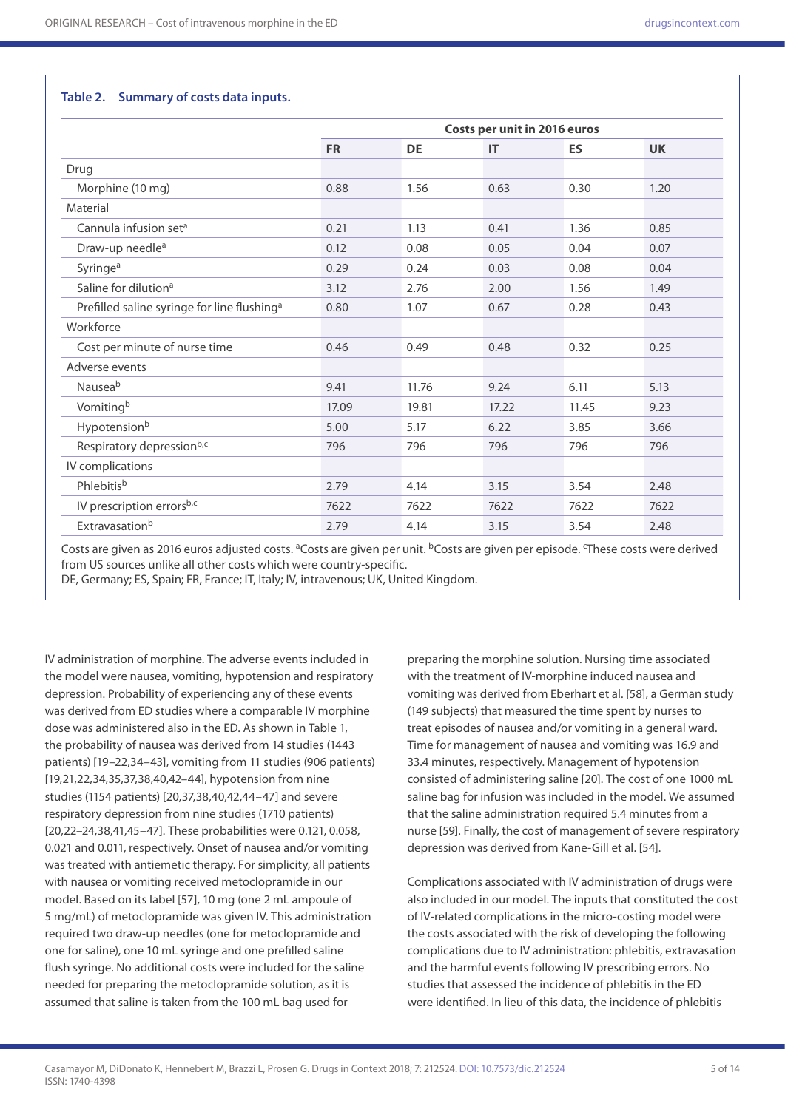#### **Table 2. Summary of costs data inputs.**

|                                                         | Costs per unit in 2016 euros |           |           |           |           |  |
|---------------------------------------------------------|------------------------------|-----------|-----------|-----------|-----------|--|
|                                                         | <b>FR</b>                    | <b>DE</b> | <b>IT</b> | <b>ES</b> | <b>UK</b> |  |
| Drug                                                    |                              |           |           |           |           |  |
| Morphine (10 mg)                                        | 0.88                         | 1.56      | 0.63      | 0.30      | 1.20      |  |
| Material                                                |                              |           |           |           |           |  |
| Cannula infusion set <sup>a</sup>                       | 0.21                         | 1.13      | 0.41      | 1.36      | 0.85      |  |
| Draw-up needle <sup>a</sup>                             | 0.12                         | 0.08      | 0.05      | 0.04      | 0.07      |  |
| Syringe <sup>a</sup>                                    | 0.29                         | 0.24      | 0.03      | 0.08      | 0.04      |  |
| Saline for dilution <sup>a</sup>                        | 3.12                         | 2.76      | 2.00      | 1.56      | 1.49      |  |
| Prefilled saline syringe for line flushing <sup>a</sup> | 0.80                         | 1.07      | 0.67      | 0.28      | 0.43      |  |
| Workforce                                               |                              |           |           |           |           |  |
| Cost per minute of nurse time                           | 0.46                         | 0.49      | 0.48      | 0.32      | 0.25      |  |
| Adverse events                                          |                              |           |           |           |           |  |
| Nauseab                                                 | 9.41                         | 11.76     | 9.24      | 6.11      | 5.13      |  |
| Vomitingb                                               | 17.09                        | 19.81     | 17.22     | 11.45     | 9.23      |  |
| Hypotensionb                                            | 5.00                         | 5.17      | 6.22      | 3.85      | 3.66      |  |
| Respiratory depressionb,c                               | 796                          | 796       | 796       | 796       | 796       |  |
| IV complications                                        |                              |           |           |           |           |  |
| Phlebitisb                                              | 2.79                         | 4.14      | 3.15      | 3.54      | 2.48      |  |
| IV prescription errorsb,c                               | 7622                         | 7622      | 7622      | 7622      | 7622      |  |
| Extravasationb                                          | 2.79                         | 4.14      | 3.15      | 3.54      | 2.48      |  |

Costs are given as 2016 euros adjusted costs. <sup>a</sup>Costs are given per unit. <sup>b</sup>Costs are given per episode. These costs were derived from US sources unlike all other costs which were country-specific.

DE, Germany; ES, Spain; FR, France; IT, Italy; IV, intravenous; UK, United Kingdom.

IV administration of morphine. The adverse events included in the model were nausea, vomiting, hypotension and respiratory depression. Probability of experiencing any of these events was derived from ED studies where a comparable IV morphine dose was administered also in the ED. As shown in Table 1, the probability of nausea was derived from 14 studies (1443 patients) [19–22,34–43], vomiting from 11 studies (906 patients) [19,21,22,34,35,37,38,40,42–44], hypotension from nine studies (1154 patients) [20,37,38,40,42,44–47] and severe respiratory depression from nine studies (1710 patients) [20,22–24,38,41,45–47]. These probabilities were 0.121, 0.058, 0.021 and 0.011, respectively. Onset of nausea and/or vomiting was treated with antiemetic therapy. For simplicity, all patients with nausea or vomiting received metoclopramide in our model. Based on its label [57], 10 mg (one 2 mL ampoule of 5 mg/mL) of metoclopramide was given IV. This administration required two draw-up needles (one for metoclopramide and one for saline), one 10 mL syringe and one prefilled saline flush syringe. No additional costs were included for the saline needed for preparing the metoclopramide solution, as it is assumed that saline is taken from the 100 mL bag used for

preparing the morphine solution. Nursing time associated with the treatment of IV-morphine induced nausea and vomiting was derived from Eberhart et al. [58], a German study (149 subjects) that measured the time spent by nurses to treat episodes of nausea and/or vomiting in a general ward. Time for management of nausea and vomiting was 16.9 and 33.4 minutes, respectively. Management of hypotension consisted of administering saline [20]. The cost of one 1000 mL saline bag for infusion was included in the model. We assumed that the saline administration required 5.4 minutes from a nurse [59]. Finally, the cost of management of severe respiratory depression was derived from Kane-Gill et al. [54].

Complications associated with IV administration of drugs were also included in our model. The inputs that constituted the cost of IV-related complications in the micro-costing model were the costs associated with the risk of developing the following complications due to IV administration: phlebitis, extravasation and the harmful events following IV prescribing errors. No studies that assessed the incidence of phlebitis in the ED were identified. In lieu of this data, the incidence of phlebitis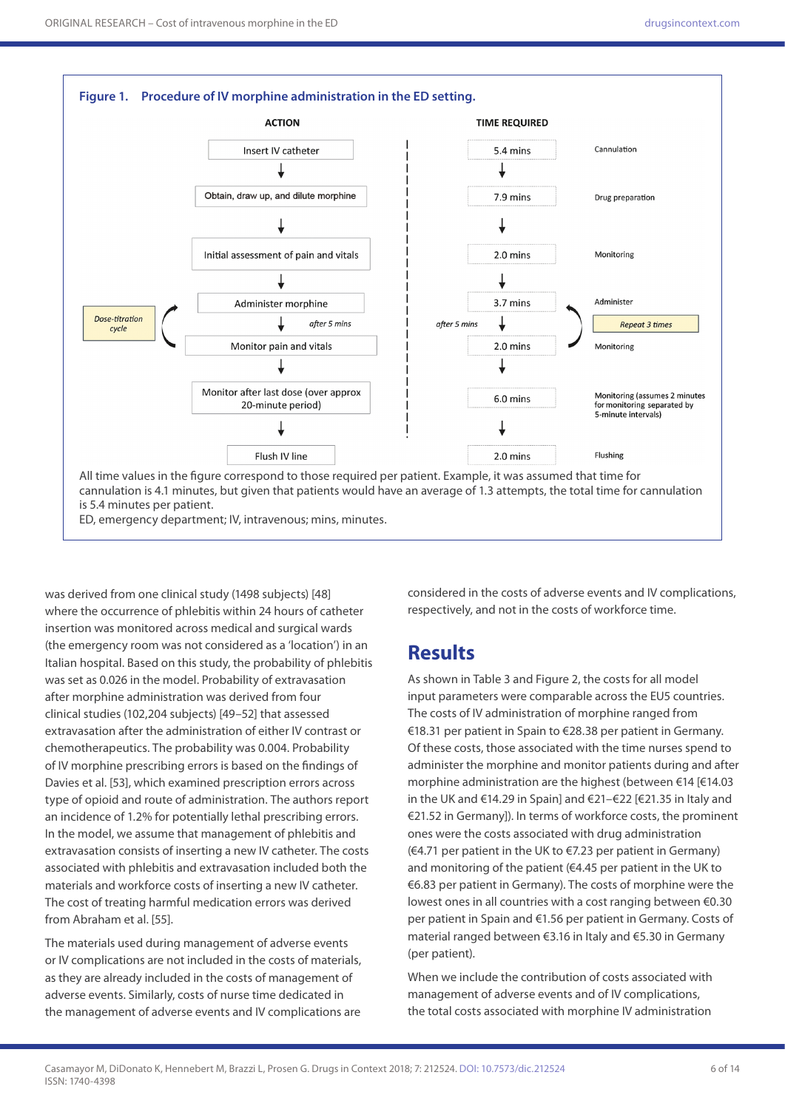

was derived from one clinical study (1498 subjects) [48] where the occurrence of phlebitis within 24 hours of catheter insertion was monitored across medical and surgical wards (the emergency room was not considered as a 'location') in an Italian hospital. Based on this study, the probability of phlebitis was set as 0.026 in the model. Probability of extravasation after morphine administration was derived from four clinical studies (102,204 subjects) [49–52] that assessed extravasation after the administration of either IV contrast or chemotherapeutics. The probability was 0.004. Probability of IV morphine prescribing errors is based on the findings of Davies et al. [53], which examined prescription errors across type of opioid and route of administration. The authors report an incidence of 1.2% for potentially lethal prescribing errors. In the model, we assume that management of phlebitis and extravasation consists of inserting a new IV catheter. The costs associated with phlebitis and extravasation included both the materials and workforce costs of inserting a new IV catheter. The cost of treating harmful medication errors was derived from Abraham et al. [55].

The materials used during management of adverse events or IV complications are not included in the costs of materials, as they are already included in the costs of management of adverse events. Similarly, costs of nurse time dedicated in the management of adverse events and IV complications are considered in the costs of adverse events and IV complications, respectively, and not in the costs of workforce time.

### **Results**

As shown in Table 3 and Figure 2, the costs for all model input parameters were comparable across the EU5 countries. The costs of IV administration of morphine ranged from €18.31 per patient in Spain to €28.38 per patient in Germany. Of these costs, those associated with the time nurses spend to administer the morphine and monitor patients during and after morphine administration are the highest (between €14 [€14.03 in the UK and €14.29 in Spain] and €21–€22 [€21.35 in Italy and €21.52 in Germany]). In terms of workforce costs, the prominent ones were the costs associated with drug administration (€4.71 per patient in the UK to €7.23 per patient in Germany) and monitoring of the patient (€4.45 per patient in the UK to €6.83 per patient in Germany). The costs of morphine were the lowest ones in all countries with a cost ranging between €0.30 per patient in Spain and €1.56 per patient in Germany. Costs of material ranged between €3.16 in Italy and €5.30 in Germany (per patient).

When we include the contribution of costs associated with management of adverse events and of IV complications, the total costs associated with morphine IV administration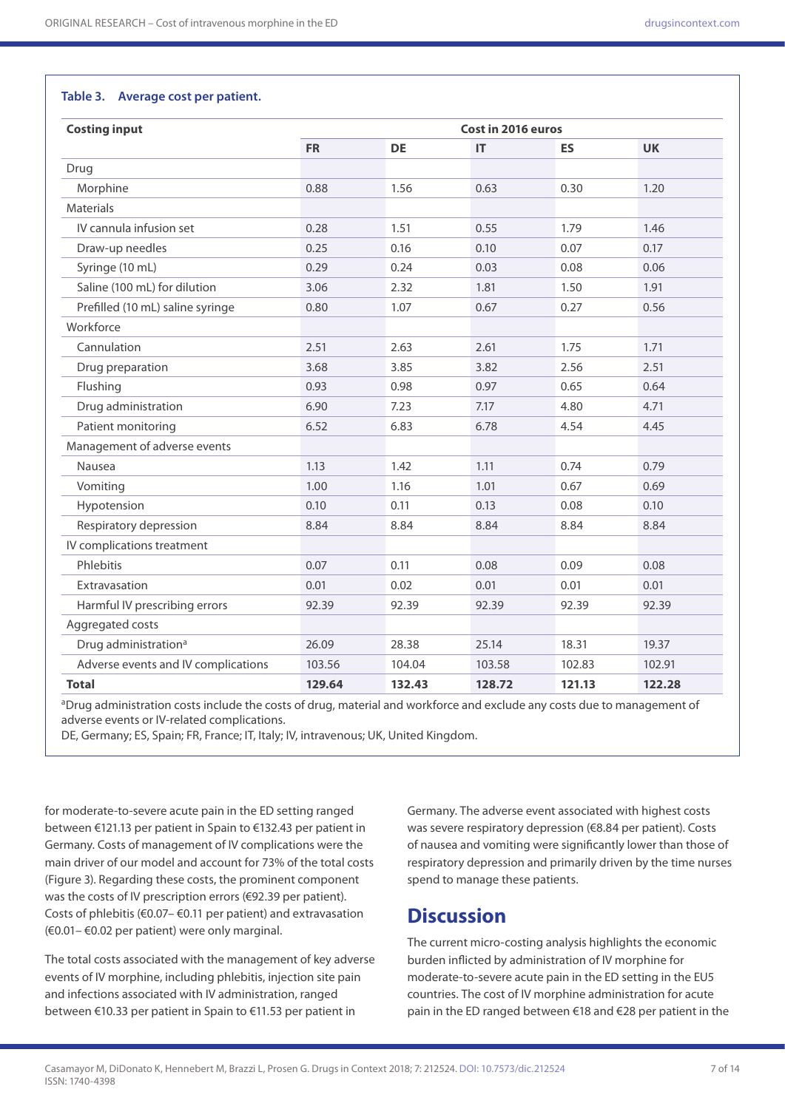#### **Table 3. Average cost per patient.**

| <b>Costing input</b>                | Cost in 2016 euros |           |        |           |           |  |
|-------------------------------------|--------------------|-----------|--------|-----------|-----------|--|
|                                     | <b>FR</b>          | <b>DE</b> | IT     | <b>ES</b> | <b>UK</b> |  |
| Drug                                |                    |           |        |           |           |  |
| Morphine                            | 0.88               | 1.56      | 0.63   | 0.30      | 1.20      |  |
| <b>Materials</b>                    |                    |           |        |           |           |  |
| IV cannula infusion set             | 0.28               | 1.51      | 0.55   | 1.79      | 1.46      |  |
| Draw-up needles                     | 0.25               | 0.16      | 0.10   | 0.07      | 0.17      |  |
| Syringe (10 mL)                     | 0.29               | 0.24      | 0.03   | 0.08      | 0.06      |  |
| Saline (100 mL) for dilution        | 3.06               | 2.32      | 1.81   | 1.50      | 1.91      |  |
| Prefilled (10 mL) saline syringe    | 0.80               | 1.07      | 0.67   | 0.27      | 0.56      |  |
| Workforce                           |                    |           |        |           |           |  |
| Cannulation                         | 2.51               | 2.63      | 2.61   | 1.75      | 1.71      |  |
| Drug preparation                    | 3.68               | 3.85      | 3.82   | 2.56      | 2.51      |  |
| Flushing                            | 0.93               | 0.98      | 0.97   | 0.65      | 0.64      |  |
| Drug administration                 | 6.90               | 7.23      | 7.17   | 4.80      | 4.71      |  |
| Patient monitoring                  | 6.52               | 6.83      | 6.78   | 4.54      | 4.45      |  |
| Management of adverse events        |                    |           |        |           |           |  |
| Nausea                              | 1.13               | 1.42      | 1.11   | 0.74      | 0.79      |  |
| Vomiting                            | 1.00               | 1.16      | 1.01   | 0.67      | 0.69      |  |
| Hypotension                         | 0.10               | 0.11      | 0.13   | 0.08      | 0.10      |  |
| Respiratory depression              | 8.84               | 8.84      | 8.84   | 8.84      | 8.84      |  |
| IV complications treatment          |                    |           |        |           |           |  |
| Phlebitis                           | 0.07               | 0.11      | 0.08   | 0.09      | 0.08      |  |
| Extravasation                       | 0.01               | 0.02      | 0.01   | 0.01      | 0.01      |  |
| Harmful IV prescribing errors       | 92.39              | 92.39     | 92.39  | 92.39     | 92.39     |  |
| Aggregated costs                    |                    |           |        |           |           |  |
| Drug administration <sup>a</sup>    | 26.09              | 28.38     | 25.14  | 18.31     | 19.37     |  |
| Adverse events and IV complications | 103.56             | 104.04    | 103.58 | 102.83    | 102.91    |  |
| <b>Total</b>                        | 129.64             | 132.43    | 128.72 | 121.13    | 122.28    |  |

aDrug administration costs include the costs of drug, material and workforce and exclude any costs due to management of adverse events or IV-related complications.

DE, Germany; ES, Spain; FR, France; IT, Italy; IV, intravenous; UK, United Kingdom.

for moderate-to-severe acute pain in the ED setting ranged between €121.13 per patient in Spain to €132.43 per patient in Germany. Costs of management of IV complications were the main driver of our model and account for 73% of the total costs (Figure 3). Regarding these costs, the prominent component was the costs of IV prescription errors (€92.39 per patient). Costs of phlebitis (€0.07– €0.11 per patient) and extravasation (€0.01– €0.02 per patient) were only marginal.

The total costs associated with the management of key adverse events of IV morphine, including phlebitis, injection site pain and infections associated with IV administration, ranged between €10.33 per patient in Spain to €11.53 per patient in

Germany. The adverse event associated with highest costs was severe respiratory depression (€8.84 per patient). Costs of nausea and vomiting were significantly lower than those of respiratory depression and primarily driven by the time nurses spend to manage these patients.

### **Discussion**

The current micro-costing analysis highlights the economic burden inflicted by administration of IV morphine for moderate-to-severe acute pain in the ED setting in the EU5 countries. The cost of IV morphine administration for acute pain in the ED ranged between €18 and €28 per patient in the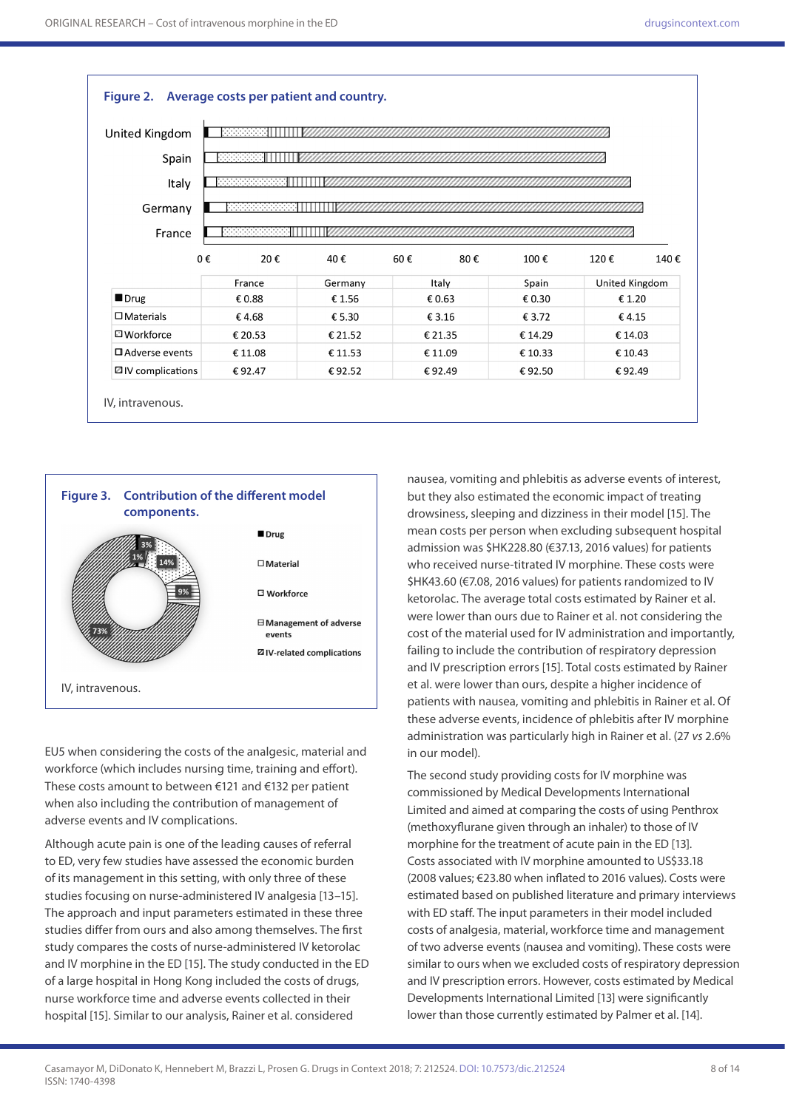| United Kingdom   |            |         |            |         |                |      |
|------------------|------------|---------|------------|---------|----------------|------|
| Spain            | 2222222    |         |            |         |                |      |
| Italy            |            |         |            |         |                |      |
| Germany          |            |         |            |         |                |      |
| France           | 0000000000 |         |            |         |                |      |
|                  | 0€<br>20€  | 40€     | 60€<br>80€ | 100€    | 120€           | 140€ |
|                  |            | Germany | Italy      | Spain   | United Kingdom |      |
|                  | France     |         |            |         | € 1.20         |      |
| Drug             | € 0.88     | €1.56   | € 0.63     | € 0.30  |                |      |
| $\Box$ Materials | €4.68      | € 5.30  | € 3.16     | € 3.72  | €4.15          |      |
| □ Workforce      | € 20.53    | € 21.52 | € 21.35    | € 14.29 | € 14.03        |      |
| □ Adverse events | € 11.08    | € 11.53 | € 11.09    | € 10.33 | € 10.43        |      |



EU5 when considering the costs of the analgesic, material and workforce (which includes nursing time, training and effort). These costs amount to between €121 and €132 per patient when also including the contribution of management of adverse events and IV complications.

Although acute pain is one of the leading causes of referral to ED, very few studies have assessed the economic burden of its management in this setting, with only three of these studies focusing on nurse-administered IV analgesia [13–15]. The approach and input parameters estimated in these three studies differ from ours and also among themselves. The first study compares the costs of nurse-administered IV ketorolac and IV morphine in the ED [15]. The study conducted in the ED of a large hospital in Hong Kong included the costs of drugs, nurse workforce time and adverse events collected in their hospital [15]. Similar to our analysis, Rainer et al. considered

nausea, vomiting and phlebitis as adverse events of interest, but they also estimated the economic impact of treating drowsiness, sleeping and dizziness in their model [15]. The mean costs per person when excluding subsequent hospital admission was \$HK228.80 (€37.13, 2016 values) for patients who received nurse-titrated IV morphine. These costs were \$HK43.60 (€7.08, 2016 values) for patients randomized to IV ketorolac. The average total costs estimated by Rainer et al. were lower than ours due to Rainer et al. not considering the cost of the material used for IV administration and importantly, failing to include the contribution of respiratory depression and IV prescription errors [15]. Total costs estimated by Rainer et al. were lower than ours, despite a higher incidence of patients with nausea, vomiting and phlebitis in Rainer et al. Of these adverse events, incidence of phlebitis after IV morphine administration was particularly high in Rainer et al. (27 *vs* 2.6% in our model).

The second study providing costs for IV morphine was commissioned by Medical Developments International Limited and aimed at comparing the costs of using Penthrox (methoxyflurane given through an inhaler) to those of IV morphine for the treatment of acute pain in the ED [13]. Costs associated with IV morphine amounted to US\$33.18 (2008 values; €23.80 when inflated to 2016 values). Costs were estimated based on published literature and primary interviews with ED staff. The input parameters in their model included costs of analgesia, material, workforce time and management of two adverse events (nausea and vomiting). These costs were similar to ours when we excluded costs of respiratory depression and IV prescription errors. However, costs estimated by Medical Developments International Limited [13] were significantly lower than those currently estimated by Palmer et al. [14].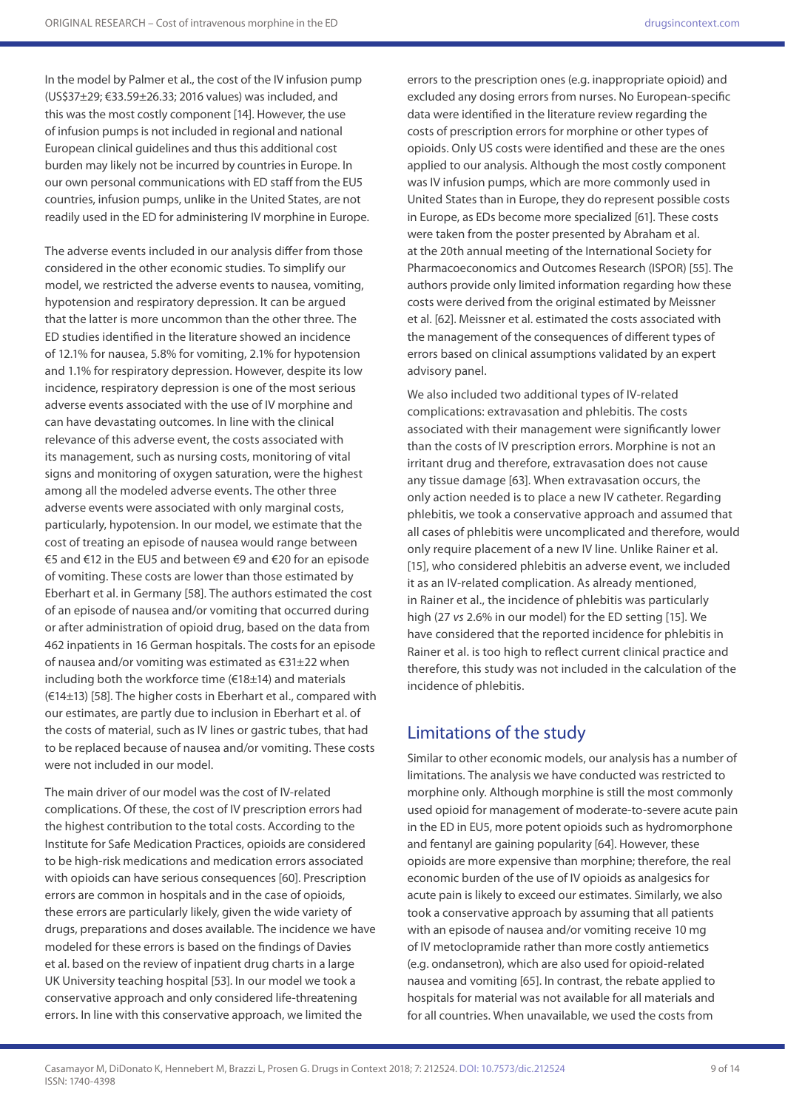In the model by Palmer et al., the cost of the IV infusion pump (US\$37±29; €33.59±26.33; 2016 values) was included, and this was the most costly component [14]. However, the use of infusion pumps is not included in regional and national European clinical guidelines and thus this additional cost burden may likely not be incurred by countries in Europe. In our own personal communications with ED staff from the EU5 countries, infusion pumps, unlike in the United States, are not readily used in the ED for administering IV morphine in Europe.

The adverse events included in our analysis differ from those considered in the other economic studies. To simplify our model, we restricted the adverse events to nausea, vomiting, hypotension and respiratory depression. It can be argued that the latter is more uncommon than the other three. The ED studies identified in the literature showed an incidence of 12.1% for nausea, 5.8% for vomiting, 2.1% for hypotension and 1.1% for respiratory depression. However, despite its low incidence, respiratory depression is one of the most serious adverse events associated with the use of IV morphine and can have devastating outcomes. In line with the clinical relevance of this adverse event, the costs associated with its management, such as nursing costs, monitoring of vital signs and monitoring of oxygen saturation, were the highest among all the modeled adverse events. The other three adverse events were associated with only marginal costs, particularly, hypotension. In our model, we estimate that the cost of treating an episode of nausea would range between €5 and €12 in the EU5 and between €9 and €20 for an episode of vomiting. These costs are lower than those estimated by Eberhart et al. in Germany [58]. The authors estimated the cost of an episode of nausea and/or vomiting that occurred during or after administration of opioid drug, based on the data from 462 inpatients in 16 German hospitals. The costs for an episode of nausea and/or vomiting was estimated as €31±22 when including both the workforce time (€18±14) and materials (€14±13) [58]. The higher costs in Eberhart et al., compared with our estimates, are partly due to inclusion in Eberhart et al. of the costs of material, such as IV lines or gastric tubes, that had to be replaced because of nausea and/or vomiting. These costs were not included in our model.

The main driver of our model was the cost of IV-related complications. Of these, the cost of IV prescription errors had the highest contribution to the total costs. According to the Institute for Safe Medication Practices, opioids are considered to be high-risk medications and medication errors associated with opioids can have serious consequences [60]. Prescription errors are common in hospitals and in the case of opioids, these errors are particularly likely, given the wide variety of drugs, preparations and doses available. The incidence we have modeled for these errors is based on the findings of Davies et al. based on the review of inpatient drug charts in a large UK University teaching hospital [53]. In our model we took a conservative approach and only considered life-threatening errors. In line with this conservative approach, we limited the

errors to the prescription ones (e.g. inappropriate opioid) and excluded any dosing errors from nurses. No European-specific data were identified in the literature review regarding the costs of prescription errors for morphine or other types of opioids. Only US costs were identified and these are the ones applied to our analysis. Although the most costly component was IV infusion pumps, which are more commonly used in United States than in Europe, they do represent possible costs in Europe, as EDs become more specialized [61]. These costs were taken from the poster presented by Abraham et al. at the 20th annual meeting of the International Society for Pharmacoeconomics and Outcomes Research (ISPOR) [55]. The authors provide only limited information regarding how these costs were derived from the original estimated by Meissner et al. [62]. Meissner et al. estimated the costs associated with the management of the consequences of different types of errors based on clinical assumptions validated by an expert advisory panel.

We also included two additional types of IV-related complications: extravasation and phlebitis. The costs associated with their management were significantly lower than the costs of IV prescription errors. Morphine is not an irritant drug and therefore, extravasation does not cause any tissue damage [63]. When extravasation occurs, the only action needed is to place a new IV catheter. Regarding phlebitis, we took a conservative approach and assumed that all cases of phlebitis were uncomplicated and therefore, would only require placement of a new IV line. Unlike Rainer et al. [15], who considered phlebitis an adverse event, we included it as an IV-related complication. As already mentioned, in Rainer et al., the incidence of phlebitis was particularly high (27 *vs* 2.6% in our model) for the ED setting [15]. We have considered that the reported incidence for phlebitis in Rainer et al. is too high to reflect current clinical practice and therefore, this study was not included in the calculation of the incidence of phlebitis.

### Limitations of the study

Similar to other economic models, our analysis has a number of limitations. The analysis we have conducted was restricted to morphine only. Although morphine is still the most commonly used opioid for management of moderate-to-severe acute pain in the ED in EU5, more potent opioids such as hydromorphone and fentanyl are gaining popularity [64]. However, these opioids are more expensive than morphine; therefore, the real economic burden of the use of IV opioids as analgesics for acute pain is likely to exceed our estimates. Similarly, we also took a conservative approach by assuming that all patients with an episode of nausea and/or vomiting receive 10 mg of IV metoclopramide rather than more costly antiemetics (e.g. ondansetron), which are also used for opioid-related nausea and vomiting [65]. In contrast, the rebate applied to hospitals for material was not available for all materials and for all countries. When unavailable, we used the costs from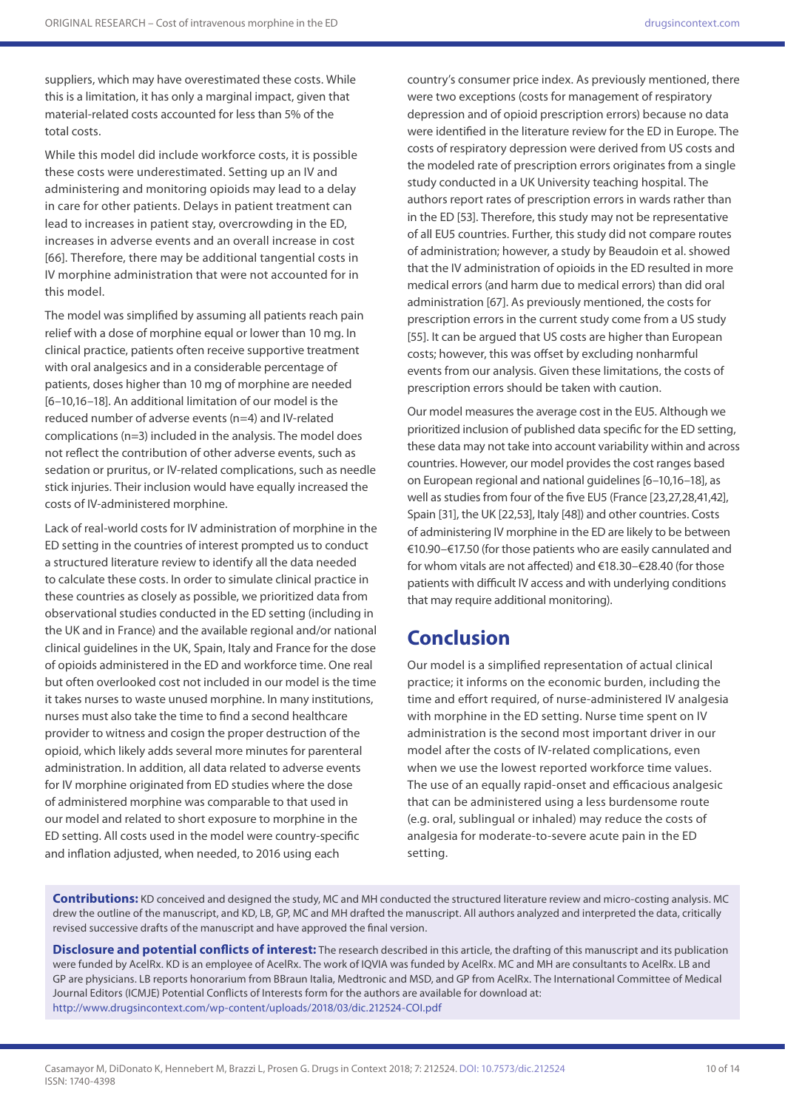suppliers, which may have overestimated these costs. While this is a limitation, it has only a marginal impact, given that material-related costs accounted for less than 5% of the total costs.

While this model did include workforce costs, it is possible these costs were underestimated. Setting up an IV and administering and monitoring opioids may lead to a delay in care for other patients. Delays in patient treatment can lead to increases in patient stay, overcrowding in the ED, increases in adverse events and an overall increase in cost [66]. Therefore, there may be additional tangential costs in IV morphine administration that were not accounted for in this model.

The model was simplified by assuming all patients reach pain relief with a dose of morphine equal or lower than 10 mg. In clinical practice, patients often receive supportive treatment with oral analgesics and in a considerable percentage of patients, doses higher than 10 mg of morphine are needed [6–10,16–18]. An additional limitation of our model is the reduced number of adverse events (n=4) and IV-related complications (n=3) included in the analysis. The model does not reflect the contribution of other adverse events, such as sedation or pruritus, or IV-related complications, such as needle stick injuries. Their inclusion would have equally increased the costs of IV-administered morphine.

Lack of real-world costs for IV administration of morphine in the ED setting in the countries of interest prompted us to conduct a structured literature review to identify all the data needed to calculate these costs. In order to simulate clinical practice in these countries as closely as possible, we prioritized data from observational studies conducted in the ED setting (including in the UK and in France) and the available regional and/or national clinical guidelines in the UK, Spain, Italy and France for the dose of opioids administered in the ED and workforce time. One real but often overlooked cost not included in our model is the time it takes nurses to waste unused morphine. In many institutions, nurses must also take the time to find a second healthcare provider to witness and cosign the proper destruction of the opioid, which likely adds several more minutes for parenteral administration. In addition, all data related to adverse events for IV morphine originated from ED studies where the dose of administered morphine was comparable to that used in our model and related to short exposure to morphine in the ED setting. All costs used in the model were country-specific and inflation adjusted, when needed, to 2016 using each

country's consumer price index. As previously mentioned, there were two exceptions (costs for management of respiratory depression and of opioid prescription errors) because no data were identified in the literature review for the ED in Europe. The costs of respiratory depression were derived from US costs and the modeled rate of prescription errors originates from a single study conducted in a UK University teaching hospital. The authors report rates of prescription errors in wards rather than in the ED [53]. Therefore, this study may not be representative of all EU5 countries. Further, this study did not compare routes of administration; however, a study by Beaudoin et al. showed that the IV administration of opioids in the ED resulted in more medical errors (and harm due to medical errors) than did oral administration [67]. As previously mentioned, the costs for prescription errors in the current study come from a US study [55]. It can be argued that US costs are higher than European costs; however, this was offset by excluding nonharmful events from our analysis. Given these limitations, the costs of prescription errors should be taken with caution.

Our model measures the average cost in the EU5. Although we prioritized inclusion of published data specific for the ED setting, these data may not take into account variability within and across countries. However, our model provides the cost ranges based on European regional and national guidelines [6–10,16–18], as well as studies from four of the five EU5 (France [23,27,28,41,42], Spain [31], the UK [22,53], Italy [48]) and other countries. Costs of administering IV morphine in the ED are likely to be between €10.90–€17.50 (for those patients who are easily cannulated and for whom vitals are not affected) and €18.30–€28.40 (for those patients with difficult IV access and with underlying conditions that may require additional monitoring).

### **Conclusion**

Our model is a simplified representation of actual clinical practice; it informs on the economic burden, including the time and effort required, of nurse-administered IV analgesia with morphine in the ED setting. Nurse time spent on IV administration is the second most important driver in our model after the costs of IV-related complications, even when we use the lowest reported workforce time values. The use of an equally rapid-onset and efficacious analgesic that can be administered using a less burdensome route (e.g. oral, sublingual or inhaled) may reduce the costs of analgesia for moderate-to-severe acute pain in the ED setting.

**Contributions:** KD conceived and designed the study, MC and MH conducted the structured literature review and micro-costing analysis. MC drew the outline of the manuscript, and KD, LB, GP, MC and MH drafted the manuscript. All authors analyzed and interpreted the data, critically revised successive drafts of the manuscript and have approved the final version.

**Disclosure and potential conflicts of interest:** The research described in this article, the drafting of this manuscript and its publication were funded by AcelRx. KD is an employee of AcelRx. The work of IQVIA was funded by AcelRx. MC and MH are consultants to AcelRx. LB and GP are physicians. LB reports honorarium from BBraun Italia, Medtronic and MSD, and GP from AcelRx. The International Committee of Medical Journal Editors (ICMJE) Potential Conflicts of Interests form for the authors are available for download at: <http://www.drugsincontext.com/wp-content/uploads/2018/03/dic.212524-COI.pdf>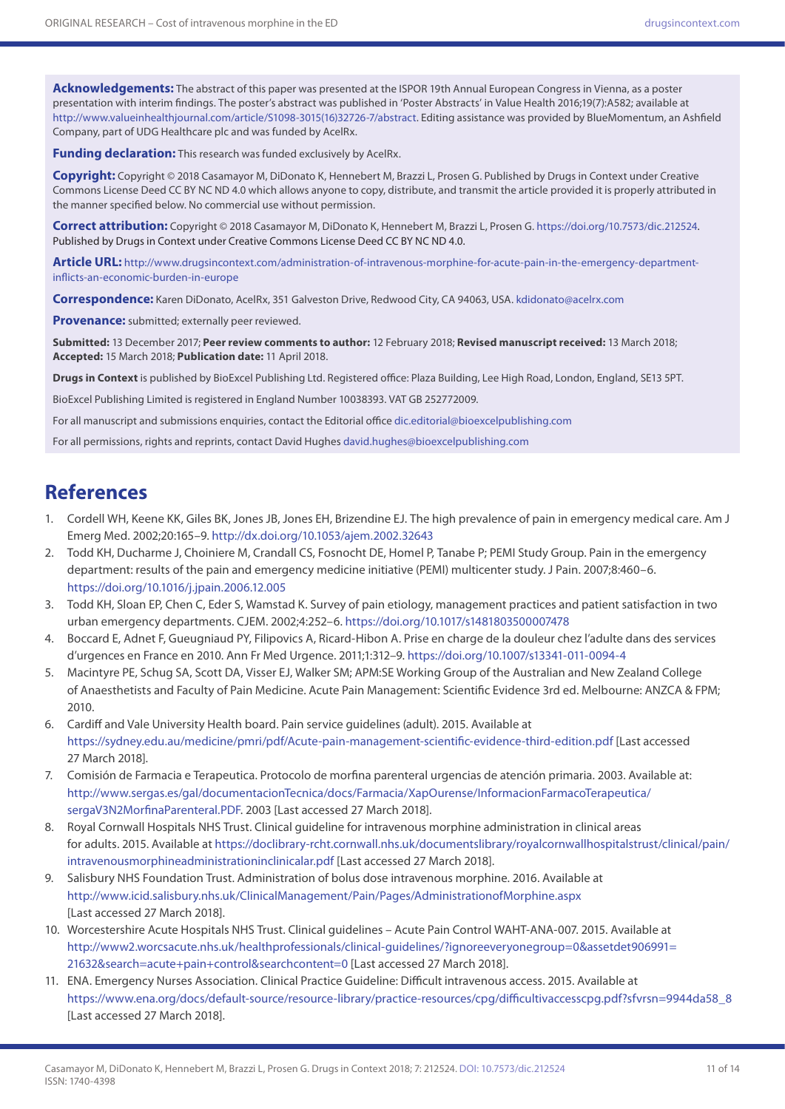**Acknowledgements:** The abstract of this paper was presented at the ISPOR 19th Annual European Congress in Vienna, as a poster presentation with interim findings. The poster's abstract was published in 'Poster Abstracts' in Value Health 2016;19(7):A582; available at [http://www.valueinhealthjournal.com/article/S1098-3015\(16\)32726-7/abstract.](http://www.valueinhealthjournal.com/article/S1098-3015(16)32726-7/abstract) Editing assistance was provided by BlueMomentum, an Ashfield Company, part of UDG Healthcare plc and was funded by AcelRx.

**Funding declaration:** This research was funded exclusively by AcelRx.

**Copyright:** Copyright © 2018 Casamayor M, DiDonato K, Hennebert M, Brazzi L, Prosen G. Published by Drugs in Context under Creative Commons License Deed CC BY NC ND 4.0 which allows anyone to copy, distribute, and transmit the article provided it is properly attributed in the manner specified below. No commercial use without permission.

**Correct attribution:** Copyright © 2018 Casamayor M, DiDonato K, Hennebert M, Brazzi L, Prosen G. https:/[/doi.org/10.7573/dic.212524](http://doi.org/10.7573/dic.212524). Published by Drugs in Context under Creative Commons License Deed CC BY NC ND 4.0.

**Article URL:** [http://www.drugsincontext.com/administration-of-intravenous-morphine-for-acute-pain-in-the-emergency-department](http://www.drugsincontext.com/administration-of-intravenous-morphine-for-acute-pain-in-the-emergency-department-inflicts-an-economic-burden-in-europe)[inflicts-an-economic-burden-in-europe](http://www.drugsincontext.com/administration-of-intravenous-morphine-for-acute-pain-in-the-emergency-department-inflicts-an-economic-burden-in-europe)

**Correspondence:** Karen DiDonato, AcelRx, 351 Galveston Drive, Redwood City, CA 94063, USA. [kdidonato@acelrx.com](mailto://kdidonato@acelrx.com)

**Provenance:** submitted; externally peer reviewed.

**Submitted:** 13 December 2017; **Peer review comments to author:** 12 February 2018; **Revised manuscript received:** 13 March 2018; **Accepted:** 15 March 2018; **Publication date:** 11 April 2018.

**Drugs in Context** is published by BioExcel Publishing Ltd. Registered office: Plaza Building, Lee High Road, London, England, SE13 5PT.

BioExcel Publishing Limited is registered in England Number 10038393. VAT GB 252772009.

For all manuscript and submissions enquiries, contact the Editorial office [dic.editorial@bioexcelpublishing.com](mailto://dic.editorial@bioexcelpublishing.com)

For all permissions, rights and reprints, contact David Hughes [david.hughes@bioexcelpublishing.com](mailto://david.hughes@bioexcelpublishing.com)

## **References**

- 1. Cordell WH, Keene KK, Giles BK, Jones JB, Jones EH, Brizendine EJ. The high prevalence of pain in emergency medical care. Am J Emerg Med. 2002;20:165–9. <http://dx.doi.org/10.1053/ajem.2002.32643>
- 2. Todd KH, Ducharme J, Choiniere M, Crandall CS, Fosnocht DE, Homel P, Tanabe P; PEMI Study Group. Pain in the emergency department: results of the pain and emergency medicine initiative (PEMI) multicenter study. J Pain. 2007;8:460–6. <https://doi.org/10.1016/j.jpain.2006.12.005>
- 3. Todd KH, Sloan EP, Chen C, Eder S, Wamstad K. Survey of pain etiology, management practices and patient satisfaction in two urban emergency departments. CJEM. 2002;4:252–6. <https://doi.org/10.1017/s1481803500007478>
- 4. Boccard E, Adnet F, Gueugniaud PY, Filipovics A, Ricard-Hibon A. Prise en charge de la douleur chez l'adulte dans des services d'urgences en France en 2010. Ann Fr Med Urgence. 2011;1:312–9.<https://doi.org/10.1007/s13341-011-0094-4>
- 5. Macintyre PE, Schug SA, Scott DA, Visser EJ, Walker SM; APM:SE Working Group of the Australian and New Zealand College of Anaesthetists and Faculty of Pain Medicine. Acute Pain Management: Scientific Evidence 3rd ed. Melbourne: ANZCA & FPM; 2010.
- 6. Cardiff and Vale University Health board. Pain service guidelines (adult). 2015. Available at <https://sydney.edu.au/medicine/pmri/pdf/Acute-pain-management-scientific-evidence-third-edition.pdf> [Last accessed 27 March 2018].
- 7. Comisión de Farmacia e Terapeutica. Protocolo de morfina parenteral urgencias de atención primaria. 2003. Available at: [http://www.sergas.es/gal/documentacionTecnica/docs/Farmacia/XapOurense/InformacionFarmacoTerapeutica/](http://www.sergas.es/gal/documentacionTecnica/docs/Farmacia/XapOurense/InformacionFarmacoTerapeutica/sergaV3N2MorfinaParenteral.PDF) [sergaV3N2MorfinaParenteral.PDF](http://www.sergas.es/gal/documentacionTecnica/docs/Farmacia/XapOurense/InformacionFarmacoTerapeutica/sergaV3N2MorfinaParenteral.PDF). 2003 [Last accessed 27 March 2018].
- 8. Royal Cornwall Hospitals NHS Trust. Clinical guideline for intravenous morphine administration in clinical areas for adults. 2015. Available at [https://doclibrary-rcht.cornwall.nhs.uk/documentslibrary/royalcornwallhospitalstrust/clinical/pain/](https://doclibrary-rcht.cornwall.nhs.uk/documentslibrary/royalcornwallhospitalstrust/clinical/pain/intravenousmorphineadministrationinclinicalar.pdf) [intravenousmorphineadministrationinclinicalar.pdf](https://doclibrary-rcht.cornwall.nhs.uk/documentslibrary/royalcornwallhospitalstrust/clinical/pain/intravenousmorphineadministrationinclinicalar.pdf) [Last accessed 27 March 2018].
- 9. Salisbury NHS Foundation Trust. Administration of bolus dose intravenous morphine. 2016. Available at <http://www.icid.salisbury.nhs.uk/ClinicalManagement/Pain/Pages/AdministrationofMorphine.aspx> [Last accessed 27 March 2018].
- 10. Worcestershire Acute Hospitals NHS Trust. Clinical guidelines Acute Pain Control WAHT-ANA-007. 2015. Available at [http://www2.worcsacute.nhs.uk/healthprofessionals/clinical-guidelines/?ignoreeveryonegroup=0&assetdet906991=](http://www2.worcsacute.nhs.uk/healthprofessionals/clinical-guidelines/?ignoreeveryonegroup=0&assetdet906991=21632&search=acute+pain+control&searchcontent=0) [21632&search=acute+pain+control&searchcontent=0](http://www2.worcsacute.nhs.uk/healthprofessionals/clinical-guidelines/?ignoreeveryonegroup=0&assetdet906991=21632&search=acute+pain+control&searchcontent=0) [Last accessed 27 March 2018].
- 11. ENA. Emergency Nurses Association. Clinical Practice Guideline: Difficult intravenous access. 2015. Available at [https://www.ena.org/docs/default-source/resource-library/practice-resources/cpg/difficultivaccesscpg.pdf?sfvrsn=9944da58\\_8](https://www.ena.org/docs/default-source/resource-library/practice-resources/cpg/difficultivaccesscpg.pdf?sfvrsn=9944da58_8) [Last accessed 27 March 2018].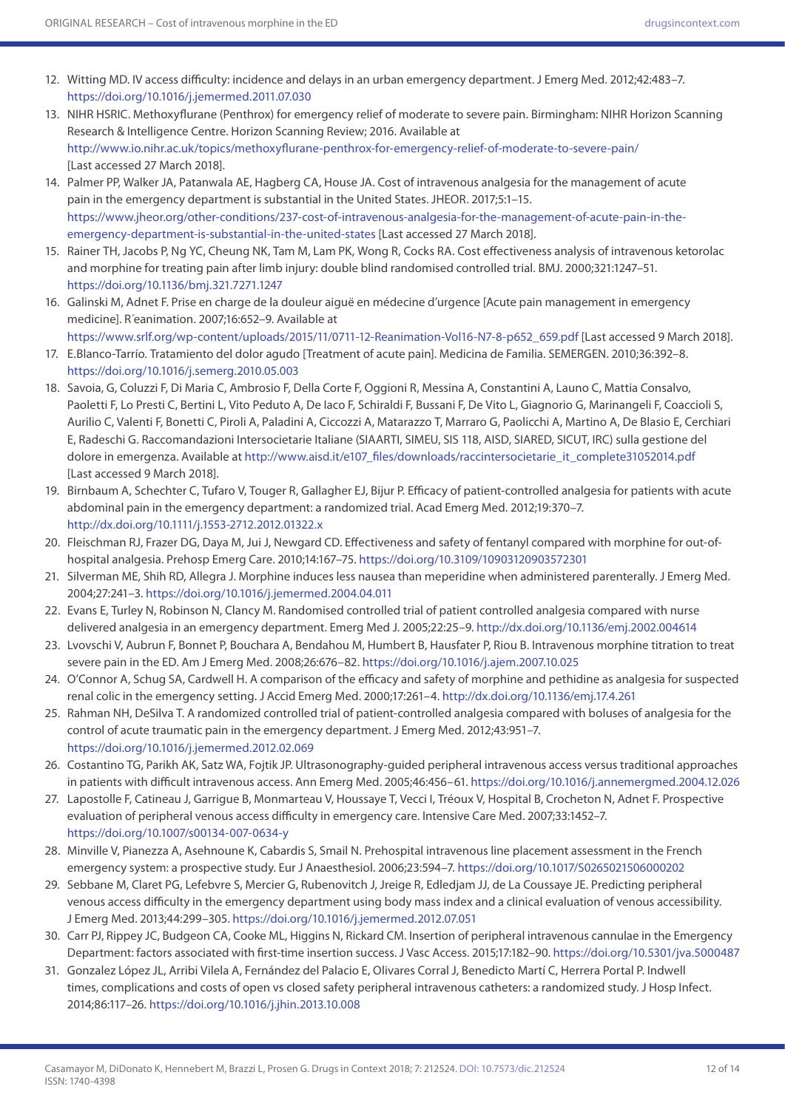- 12. Witting MD. IV access difficulty: incidence and delays in an urban emergency department. J Emerg Med. 2012;42:483–7. <https://doi.org/10.1016/j.jemermed.2011.07.030>
- 13. NIHR HSRIC. Methoxyflurane (Penthrox) for emergency relief of moderate to severe pain. Birmingham: NIHR Horizon Scanning Research & Intelligence Centre. Horizon Scanning Review; 2016. Available at <http://www.io.nihr.ac.uk/topics/methoxyflurane-penthrox-for-emergency-relief-of-moderate-to-severe-pain/> [Last accessed 27 March 2018].
- 14. Palmer PP, Walker JA, Patanwala AE, Hagberg CA, House JA. Cost of intravenous analgesia for the management of acute pain in the emergency department is substantial in the United States. JHEOR. 2017;5:1–15. [https://www.jheor.org/other-conditions/237-cost-of-intravenous-analgesia-for-the-management-of-acute-pain-in-the](https://www.jheor.org/other-conditions/237-cost-of-intravenous-analgesia-for-the-management-of-acute-pain-in-the-emergency-department-is-substantial-in-the-united-states)[emergency-department-is-substantial-in-the-united-states](https://www.jheor.org/other-conditions/237-cost-of-intravenous-analgesia-for-the-management-of-acute-pain-in-the-emergency-department-is-substantial-in-the-united-states) [Last accessed 27 March 2018].
- 15. Rainer TH, Jacobs P, Ng YC, Cheung NK, Tam M, Lam PK, Wong R, Cocks RA. Cost effectiveness analysis of intravenous ketorolac and morphine for treating pain after limb injury: double blind randomised controlled trial. BMJ. 2000;321:1247–51. <https://doi.org/10.1136/bmj.321.7271.1247>
- 16. Galinski M, Adnet F. Prise en charge de la douleur aiguë en médecine d'urgence [Acute pain management in emergency medicine]. R´eanimation. 2007;16:652–9. Available at
	- [https://www.srlf.org/wp-content/uploads/2015/11/0711-12-Reanimation-Vol16-N7-8-p652\\_659.pdf](https://www.srlf.org/wp-content/uploads/2015/11/0711-12-Reanimation-Vol16-N7-8-p652_659.pdf) [Last accessed 9 March 2018].
- 17. E.Blanco-Tarrío. Tratamiento del dolor agudo [Treatment of acute pain]. Medicina de Familia. SEMERGEN. 2010;36:392–8. <https://doi.org/10.1016/j.semerg.2010.05.003>
- 18. Savoia, G, Coluzzi F, Di Maria C, Ambrosio F, Della Corte F, Oggioni R, Messina A, Constantini A, Launo C, Mattia Consalvo, Paoletti F, Lo Presti C, Bertini L, Vito Peduto A, De Iaco F, Schiraldi F, Bussani F, De Vito L, Giagnorio G, Marinangeli F, Coaccioli S, Aurilio C, Valenti F, Bonetti C, Piroli A, Paladini A, Ciccozzi A, Matarazzo T, Marraro G, Paolicchi A, Martino A, De Blasio E, Cerchiari E, Radeschi G. Raccomandazioni Intersocietarie Italiane (SIAARTI, SIMEU, SIS 118, AISD, SIARED, SICUT, IRC) sulla gestione del dolore in emergenza. Available at [http://www.aisd.it/e107\\_files/downloads/raccintersocietarie\\_it\\_complete31052014.pdf](http://www.aisd.it/e107_files/downloads/raccintersocietarie_it_complete31052014.pdf) [Last accessed 9 March 2018].
- 19. Birnbaum A, Schechter C, Tufaro V, Touger R, Gallagher EJ, Bijur P. Efficacy of patient-controlled analgesia for patients with acute abdominal pain in the emergency department: a randomized trial. Acad Emerg Med. 2012;19:370–7. <http://dx.doi.org/10.1111/j.1553-2712.2012.01322.x>
- 20. Fleischman RJ, Frazer DG, Daya M, Jui J, Newgard CD. Effectiveness and safety of fentanyl compared with morphine for out-ofhospital analgesia. Prehosp Emerg Care. 2010;14:167–75.<https://doi.org/10.3109/10903120903572301>
- 21. Silverman ME, Shih RD, Allegra J. Morphine induces less nausea than meperidine when administered parenterally. J Emerg Med. 2004;27:241–3. <https://doi.org/10.1016/j.jemermed.2004.04.011>
- 22. Evans E, Turley N, Robinson N, Clancy M. Randomised controlled trial of patient controlled analgesia compared with nurse delivered analgesia in an emergency department. Emerg Med J. 2005;22:25–9. <http://dx.doi.org/10.1136/emj.2002.004614>
- 23. Lvovschi V, Aubrun F, Bonnet P, Bouchara A, Bendahou M, Humbert B, Hausfater P, Riou B. Intravenous morphine titration to treat severe pain in the ED. Am J Emerg Med. 2008;26:676–82. <https://doi.org/10.1016/j.ajem.2007.10.025>
- 24. O'Connor A, Schug SA, Cardwell H. A comparison of the efficacy and safety of morphine and pethidine as analgesia for suspected renal colic in the emergency setting. J Accid Emerg Med. 2000;17:261–4. <http://dx.doi.org/10.1136/emj.17.4.261>
- 25. Rahman NH, DeSilva T. A randomized controlled trial of patient-controlled analgesia compared with boluses of analgesia for the control of acute traumatic pain in the emergency department. J Emerg Med. 2012;43:951–7. <https://doi.org/10.1016/j.jemermed.2012.02.069>
- 26. Costantino TG, Parikh AK, Satz WA, Fojtik JP. Ultrasonography-guided peripheral intravenous access versus traditional approaches in patients with difficult intravenous access. Ann Emerg Med. 2005;46:456–61.<https://doi.org/10.1016/j.annemergmed.2004.12.026>
- 27. Lapostolle F, Catineau J, Garrigue B, Monmarteau V, Houssaye T, Vecci I, Tréoux V, Hospital B, Crocheton N, Adnet F. Prospective evaluation of peripheral venous access difficulty in emergency care. Intensive Care Med. 2007;33:1452–7. <https://doi.org/10.1007/s00134-007-0634-y>
- 28. Minville V, Pianezza A, Asehnoune K, Cabardis S, Smail N. Prehospital intravenous line placement assessment in the French emergency system: a prospective study. Eur J Anaesthesiol. 2006;23:594–7.<https://doi.org/10.1017/S0265021506000202>
- 29. Sebbane M, Claret PG, Lefebvre S, Mercier G, Rubenovitch J, Jreige R, Edledjam JJ, de La Coussaye JE. Predicting peripheral venous access difficulty in the emergency department using body mass index and a clinical evaluation of venous accessibility. J Emerg Med. 2013;44:299–305.<https://doi.org/10.1016/j.jemermed.2012.07.051>
- 30. Carr PJ, Rippey JC, Budgeon CA, Cooke ML, Higgins N, Rickard CM. Insertion of peripheral intravenous cannulae in the Emergency Department: factors associated with first-time insertion success. J Vasc Access. 2015;17:182–90. <https://doi.org/10.5301/jva.5000487>
- 31. Gonzalez López JL, Arribi Vilela A, Fernández del Palacio E, Olivares Corral J, Benedicto Martí C, Herrera Portal P. Indwell times, complications and costs of open vs closed safety peripheral intravenous catheters: a randomized study. J Hosp Infect. 2014;86:117–26.<https://doi.org/10.1016/j.jhin.2013.10.008>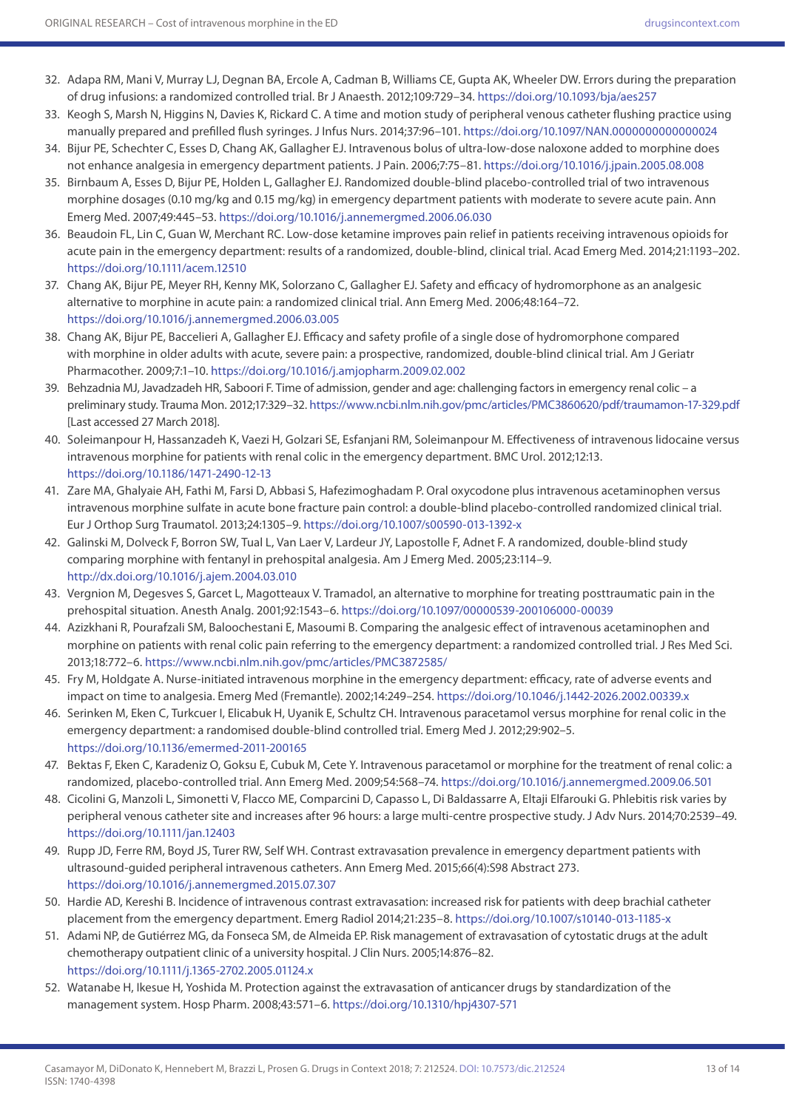- 32. Adapa RM, Mani V, Murray LJ, Degnan BA, Ercole A, Cadman B, Williams CE, Gupta AK, Wheeler DW. Errors during the preparation of drug infusions: a randomized controlled trial. Br J Anaesth. 2012;109:729–34.<https://doi.org/10.1093/bja/aes257>
- 33. Keogh S, Marsh N, Higgins N, Davies K, Rickard C. A time and motion study of peripheral venous catheter flushing practice using manually prepared and prefilled flush syringes. J Infus Nurs. 2014;37:96–101. <https://doi.org/10.1097/NAN.0000000000000024>
- 34. Bijur PE, Schechter C, Esses D, Chang AK, Gallagher EJ. Intravenous bolus of ultra-low-dose naloxone added to morphine does not enhance analgesia in emergency department patients. J Pain. 2006;7:75–81. <https://doi.org/10.1016/j.jpain.2005.08.008>
- 35. Birnbaum A, Esses D, Bijur PE, Holden L, Gallagher EJ. Randomized double-blind placebo-controlled trial of two intravenous morphine dosages (0.10 mg/kg and 0.15 mg/kg) in emergency department patients with moderate to severe acute pain. Ann Emerg Med. 2007;49:445–53.<https://doi.org/10.1016/j.annemergmed.2006.06.030>
- 36. Beaudoin FL, Lin C, Guan W, Merchant RC. Low-dose ketamine improves pain relief in patients receiving intravenous opioids for acute pain in the emergency department: results of a randomized, double-blind, clinical trial. Acad Emerg Med. 2014;21:1193–202. <https://doi.org/10.1111/acem.12510>
- 37. Chang AK, Bijur PE, Meyer RH, Kenny MK, Solorzano C, Gallagher EJ. Safety and efficacy of hydromorphone as an analgesic alternative to morphine in acute pain: a randomized clinical trial. Ann Emerg Med. 2006;48:164–72. <https://doi.org/10.1016/j.annemergmed.2006.03.005>
- 38. Chang AK, Bijur PE, Baccelieri A, Gallagher EJ. Efficacy and safety profile of a single dose of hydromorphone compared with morphine in older adults with acute, severe pain: a prospective, randomized, double-blind clinical trial. Am J Geriatr Pharmacother. 2009;7:1–10.<https://doi.org/10.1016/j.amjopharm.2009.02.002>
- 39. Behzadnia MJ, Javadzadeh HR, Saboori F. Time of admission, gender and age: challenging factors in emergency renal colic a preliminary study. Trauma Mon. 2012;17:329–32.<https://www.ncbi.nlm.nih.gov/pmc/articles/PMC3860620/pdf/traumamon-17-329.pdf> [Last accessed 27 March 2018].
- 40. Soleimanpour H, Hassanzadeh K, Vaezi H, Golzari SE, Esfanjani RM, Soleimanpour M. Effectiveness of intravenous lidocaine versus intravenous morphine for patients with renal colic in the emergency department. BMC Urol. 2012;12:13. <https://doi.org/10.1186/1471-2490-12-13>
- 41. Zare MA, Ghalyaie AH, Fathi M, Farsi D, Abbasi S, Hafezimoghadam P. Oral oxycodone plus intravenous acetaminophen versus intravenous morphine sulfate in acute bone fracture pain control: a double-blind placebo-controlled randomized clinical trial. Eur J Orthop Surg Traumatol. 2013;24:1305–9.<https://doi.org/10.1007/s00590-013-1392-x>
- 42. Galinski M, Dolveck F, Borron SW, Tual L, Van Laer V, Lardeur JY, Lapostolle F, Adnet F. A randomized, double-blind study comparing morphine with fentanyl in prehospital analgesia. Am J Emerg Med. 2005;23:114–9. <http://dx.doi.org/10.1016/j.ajem.2004.03.010>
- 43. Vergnion M, Degesves S, Garcet L, Magotteaux V. Tramadol, an alternative to morphine for treating posttraumatic pain in the prehospital situation. Anesth Analg. 2001;92:1543–6.<https://doi.org/10.1097/00000539-200106000-00039>
- 44. Azizkhani R, Pourafzali SM, Baloochestani E, Masoumi B. Comparing the analgesic effect of intravenous acetaminophen and morphine on patients with renal colic pain referring to the emergency department: a randomized controlled trial. J Res Med Sci. 2013;18:772–6.<https://www.ncbi.nlm.nih.gov/pmc/articles/PMC3872585/>
- 45. Fry M, Holdgate A. Nurse-initiated intravenous morphine in the emergency department: efficacy, rate of adverse events and impact on time to analgesia. Emerg Med (Fremantle). 2002;14:249–254.<https://doi.org/10.1046/j.1442-2026.2002.00339.x>
- 46. Serinken M, Eken C, Turkcuer I, Elicabuk H, Uyanik E, Schultz CH. Intravenous paracetamol versus morphine for renal colic in the emergency department: a randomised double-blind controlled trial. Emerg Med J. 2012;29:902–5. <https://doi.org/10.1136/emermed-2011-200165>
- 47. Bektas F, Eken C, Karadeniz O, Goksu E, Cubuk M, Cete Y. Intravenous paracetamol or morphine for the treatment of renal colic: a randomized, placebo-controlled trial. Ann Emerg Med. 2009;54:568–74. <https://doi.org/10.1016/j.annemergmed.2009.06.501>
- 48. Cicolini G, Manzoli L, Simonetti V, Flacco ME, Comparcini D, Capasso L, Di Baldassarre A, Eltaji Elfarouki G. Phlebitis risk varies by peripheral venous catheter site and increases after 96 hours: a large multi-centre prospective study. J Adv Nurs. 2014;70:2539–49. <https://doi.org/10.1111/jan.12403>
- 49. Rupp JD, Ferre RM, Boyd JS, Turer RW, Self WH. Contrast extravasation prevalence in emergency department patients with ultrasound-guided peripheral intravenous catheters. Ann Emerg Med. 2015;66(4):S98 Abstract 273. <https://doi.org/10.1016/j.annemergmed.2015.07.307>
- 50. Hardie AD, Kereshi B. Incidence of intravenous contrast extravasation: increased risk for patients with deep brachial catheter placement from the emergency department. Emerg Radiol 2014;21:235–8.<https://doi.org/10.1007/s10140-013-1185-x>
- 51. Adami NP, de Gutiérrez MG, da Fonseca SM, de Almeida EP. Risk management of extravasation of cytostatic drugs at the adult chemotherapy outpatient clinic of a university hospital. J Clin Nurs. 2005;14:876–82. <https://doi.org/10.1111/j.1365-2702.2005.01124.x>
- 52. Watanabe H, Ikesue H, Yoshida M. Protection against the extravasation of anticancer drugs by standardization of the management system. Hosp Pharm. 2008;43:571–6.<https://doi.org/10.1310/hpj4307-571>